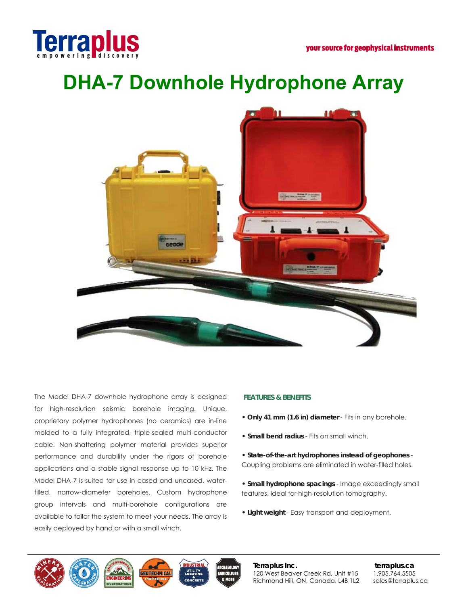

# **DHA-7 Downhole Hydrophone Array**



The Model DHA-7 downhole hydrophone array is designed for high-resolution seismic borehole imaging. Unique, proprietary polymer hydrophones (no ceramics) are in-line molded to a fully integrated, triple-sealed multi-conductor cable. Non-shattering polymer material provides superior performance and durability under the rigors of borehole applications and a stable signal response up to 10 kHz. The Model DHA-7 is suited for use in cased and uncased, waterfilled, narrow-diameter boreholes. Custom hydrophone group intervals and multi-borehole configurations are available to tailor the system to meet your needs. The array is easily deployed by hand or with a small winch.

#### **FEATURES & BENEFITS**

- **Only 41 mm (1.6 in) diameter**  Fits in any borehole.
- **Small bend radius**  Fits on small winch.
- **State-of-the-art hydrophones instead of geophones**  Coupling problems are eliminated in water-filled holes.
- **Small hydrophone spacings**  Image exceedingly small features, ideal for high-resolution tomography.
- **Light weight**  Easy transport and deployment.



**Terraplus Inc.** terraplus.ca<br>
120 West Beaver Creek Rd, Unit #15 1.905.764.5505 120 West Beaver Creek Rd, Unit #15 Richmond Hill, ON, Canada, L4B 1L2 sales@terraplus.ca